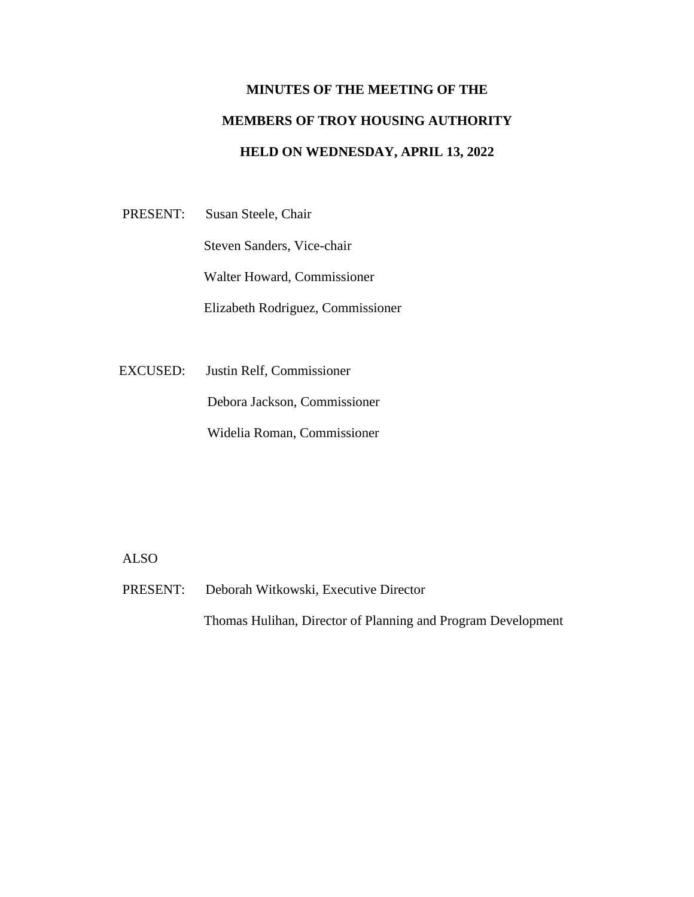## **MINUTES OF THE MEETING OF THE MEMBERS OF TROY HOUSING AUTHORITY HELD ON WEDNESDAY, APRIL 13, 2022**

PRESENT: Susan Steele, Chair

Steven Sanders, Vice-chair

Walter Howard, Commissioner

Elizabeth Rodriguez, Commissioner

EXCUSED: Justin Relf, Commissioner

Debora Jackson, Commissioner

Widelia Roman, Commissioner

## ALSO

PRESENT: Deborah Witkowski, Executive Director

Thomas Hulihan, Director of Planning and Program Development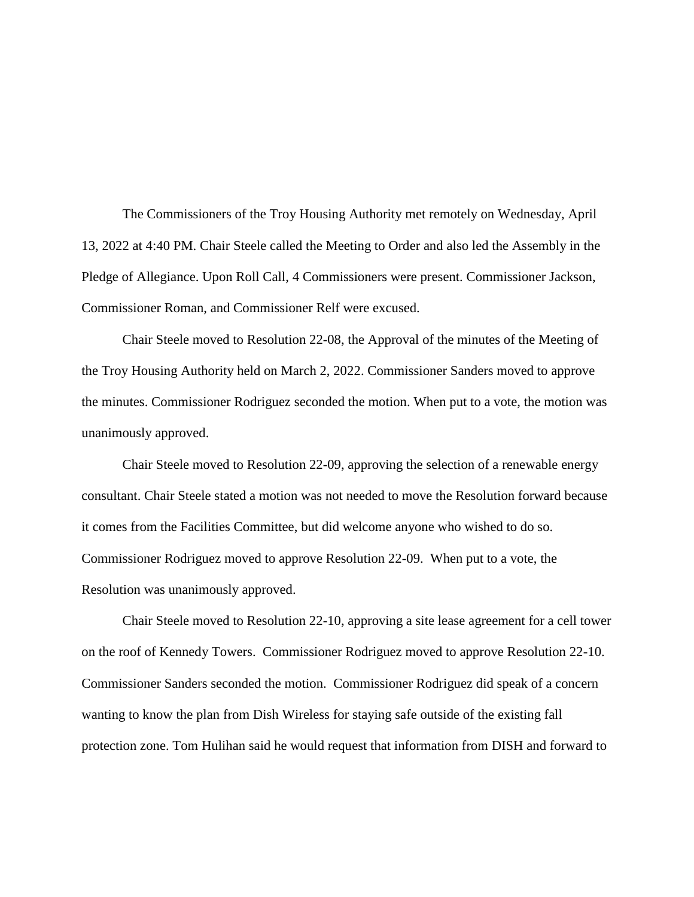The Commissioners of the Troy Housing Authority met remotely on Wednesday, April 13, 2022 at 4:40 PM. Chair Steele called the Meeting to Order and also led the Assembly in the Pledge of Allegiance. Upon Roll Call, 4 Commissioners were present. Commissioner Jackson, Commissioner Roman, and Commissioner Relf were excused.

Chair Steele moved to Resolution 22-08, the Approval of the minutes of the Meeting of the Troy Housing Authority held on March 2, 2022. Commissioner Sanders moved to approve the minutes. Commissioner Rodriguez seconded the motion. When put to a vote, the motion was unanimously approved.

Chair Steele moved to Resolution 22-09, approving the selection of a renewable energy consultant. Chair Steele stated a motion was not needed to move the Resolution forward because it comes from the Facilities Committee, but did welcome anyone who wished to do so. Commissioner Rodriguez moved to approve Resolution 22-09. When put to a vote, the Resolution was unanimously approved.

Chair Steele moved to Resolution 22-10, approving a site lease agreement for a cell tower on the roof of Kennedy Towers. Commissioner Rodriguez moved to approve Resolution 22-10. Commissioner Sanders seconded the motion. Commissioner Rodriguez did speak of a concern wanting to know the plan from Dish Wireless for staying safe outside of the existing fall protection zone. Tom Hulihan said he would request that information from DISH and forward to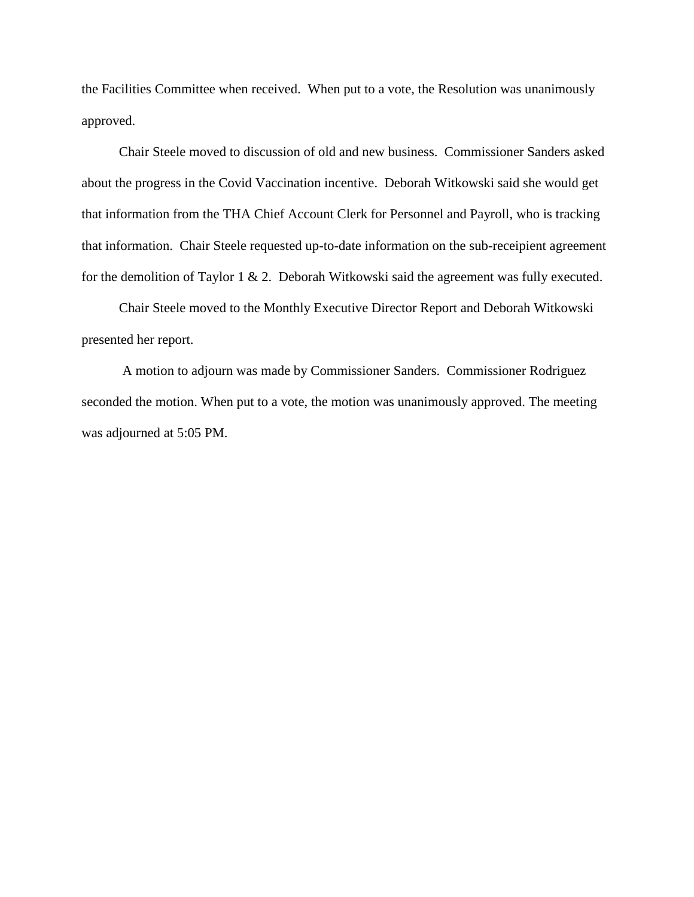the Facilities Committee when received. When put to a vote, the Resolution was unanimously approved.

 Chair Steele moved to discussion of old and new business. Commissioner Sanders asked about the progress in the Covid Vaccination incentive. Deborah Witkowski said she would get that information from the THA Chief Account Clerk for Personnel and Payroll, who is tracking that information. Chair Steele requested up-to-date information on the sub-receipient agreement for the demolition of Taylor 1 & 2. Deborah Witkowski said the agreement was fully executed.

 Chair Steele moved to the Monthly Executive Director Report and Deborah Witkowski presented her report.

A motion to adjourn was made by Commissioner Sanders. Commissioner Rodriguez seconded the motion. When put to a vote, the motion was unanimously approved. The meeting was adjourned at 5:05 PM.